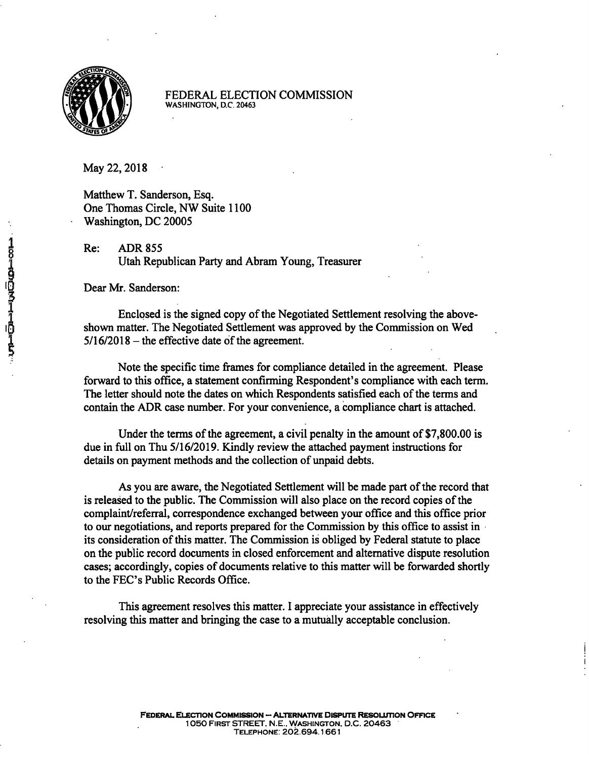

FEDERAL ELECTION COMMISSION WASHINGTON, D.C. 20463

May 22, 2018

Matthew T. Sanderson, Esq. One Thomas Circle, NW Suite 1100 Washington, DC 20005

Re: ADR 855 Utah Republican Party and Abram Young, Treasurer

Dear Mr. Sanderson:

Enclosed is the signed copy of the Negotiated Settlement resolving the aboveshown matter. The Negotiated Settlement was approved by the Commission on Wed  $5/16/2018$  – the effective date of the agreement.

Note the specific time frames for compliance detailed in the agreement. Please forward to this office, a statement confirming Respondent's compliance with each term. The letter should note the dates on which Respondents satisfied each of the terms and contain the ADR case number. For your convenience, a compliance chart is attached.

Under the terms of the agreement, a civil penalty in the amount of \$7,800.00 is due in full on Thu 5/16/2019. Kindly review the attached payment instructions for details on payment methods and the collection of unpaid debts.

As you are aware, the Negotiated Settlement will be made part of the record that is released to the public. The Commission will also place on the record copies of the complaint/referral, correspondence exchanged between your office and this office prior to our negotiations, and reports prepared for the Commission by this office to assist in its consideration of this matter. The Commission is obliged by Federal statute to place on the public record documents in closed enforcement and alternative dispute resolution cases; accordingly, copies of documents relative to this matter will be forwarded shortly to the FEC's Public Records Office.

This agreement resolves this matter. 1 appreciate your assistance in effectively resolving this matter and bringing the case to a mutually acceptable conclusion.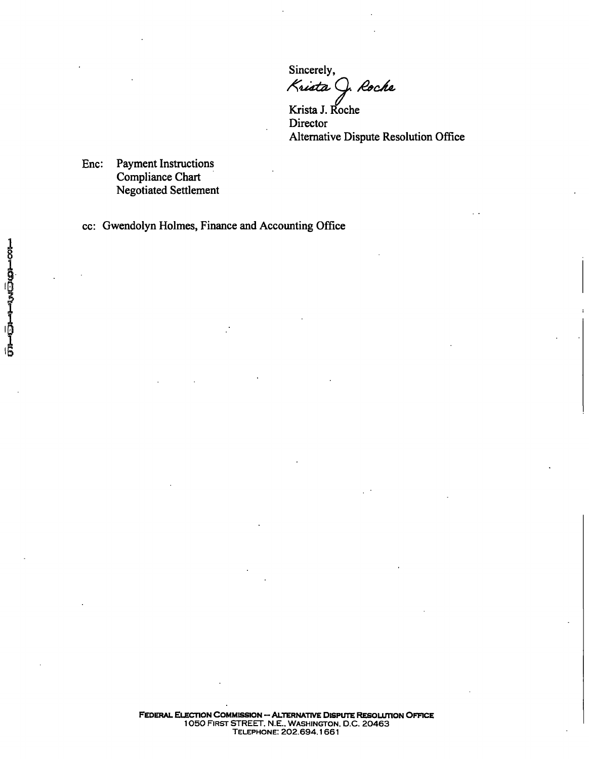Sincerely, Krista J. Roche

Krista J. Roche **Director** Alternative Dispute Resolution Office

Enc: Payment Instructions Compliance Chart Negotiated Settlement

cc: Gwendolyn Holmes, Finance and Accounting Office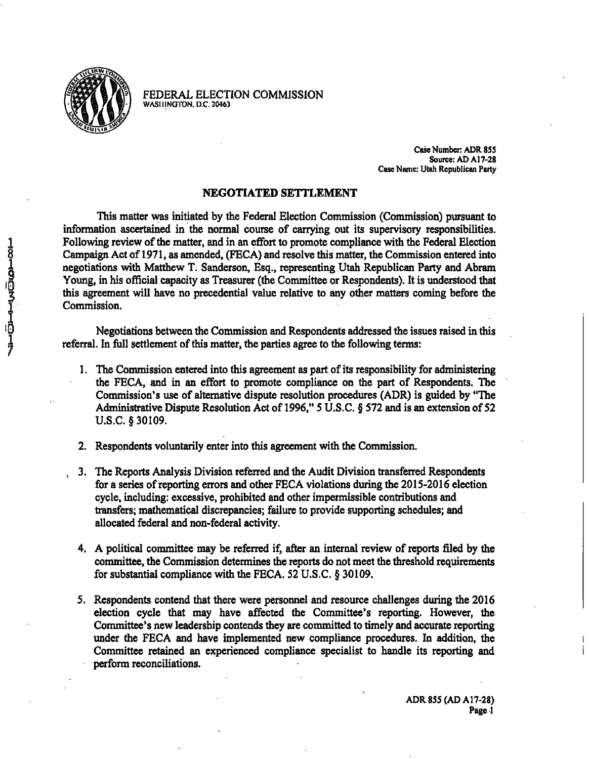

FEDERAL ELECTION COMMISSION **WASIIING'lt>N. I).C. 20463** 

> **Case Number ADR 8SS Source; AD A17-28 Case Name: Utah Republican Party**

## **NEGOTIATED SETTLEMENT**

This matter was initiated by the Federal Election Commission (Commission) pursuant to information ascertained in the normal course of carrying out its supervisory responsibilities. Following review of the matter, and in an effort to promote compliance with the Federal Election Campaign Act of 1971, as amended, (FECA) and resolve this matter, the Commission entered into negotiations with Matthew T. Sanderson, Esq., representing Utah Republican Party and Abram Young, in his official capacity as Treasurer (the Committee or Respondents). It is understood that this agreement will have no precedential value relative to any other matters coming before the Commission.

Negotiations between the Commission and Respondents addressed the issues raised in this referral. In full settlement of this matter, the parties agree to the following terms:

- 1. The Commission entered into this agreement as part of its responsibility for administering the FECA, and in an effort to promote compliance on the part of Respondents. The Commission's use of alternative dispute resolution procedures (ADR) is guided by "The Administrative Dispute Resolution Act of 1996," S U.S.C. § S72 and is an extension of 52 U.S.C. § 30109.
- 2. Respondents voluntarily enter into this agreement with the Commission.
- , 3. The Reports Analysis Division referred and the Audit Division transferred Respondents for a series of reporting errors and other FECA violations during the 2015-2016 election cycle, including: excessive, prohibited and other impermissible contributions and transfers; mathematical discrepancies; failure to provide supporting schedules; and allocated federal and non-federal activity.
- 4. A political committee may be referred if, after an internal review of reports filed by the committee, the Commission determines the reports do not meet the threshold requirements for substantial compliance with the FECA. 52 U.S.C. § 30109.
- 5. Respondents contend that there were personnel and resource challenges during the 2016 election cycle that may have affected the Committee's reporting. However, the Committee's new leadership contends they are committed to timely and accurate reporting under the FECA and have implemented new compliance procedures. In addition, the Committee retained an experienced compliance specialist to handle its reporting and perform reconciliations.

**ADR 855 (AD A17-28) Page 1**